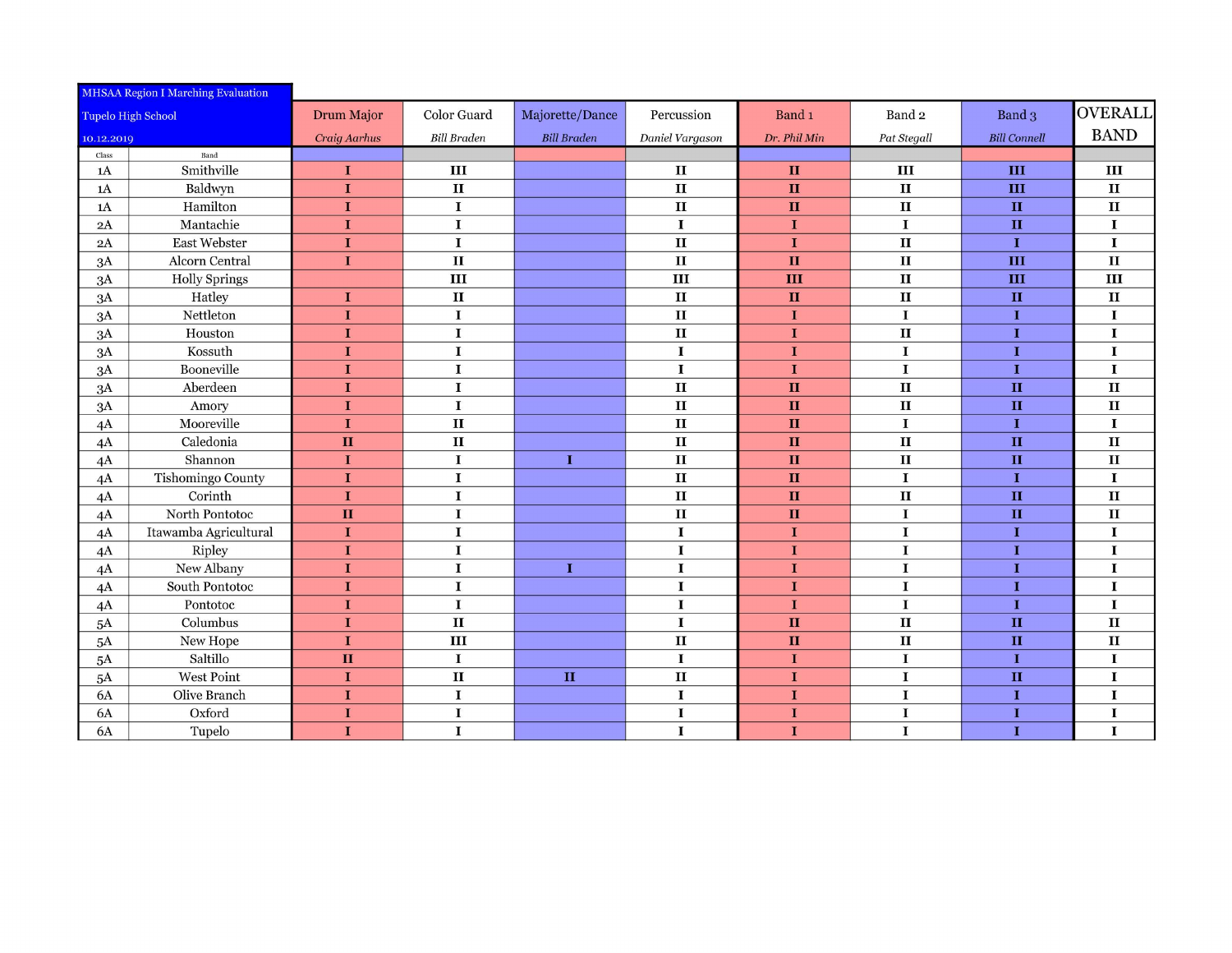| <b>MHSAA Region I Marching Evaluation</b> |                                                                                           |                    |                                                                                                                                                                     |                         |                                                                                                 |                                   |                                                                                                          |                        |
|-------------------------------------------|-------------------------------------------------------------------------------------------|--------------------|---------------------------------------------------------------------------------------------------------------------------------------------------------------------|-------------------------|-------------------------------------------------------------------------------------------------|-----------------------------------|----------------------------------------------------------------------------------------------------------|------------------------|
| Tupelo High School                        | Drum Major                                                                                | <b>Color Guard</b> | Majorette/Dance                                                                                                                                                     | Percussion              | Band <sub>1</sub>                                                                               | Band <sub>2</sub>                 | Band 3                                                                                                   | <b>OVERALL</b>         |
| 10.12.2019                                | <b>Craig Aarhus</b>                                                                       | <b>Bill Braden</b> | <b>Bill Braden</b>                                                                                                                                                  |                         | Dr. Phil Min                                                                                    |                                   | <b>Bill Connell</b>                                                                                      | <b>BAND</b>            |
| Band                                      |                                                                                           |                    |                                                                                                                                                                     |                         |                                                                                                 |                                   |                                                                                                          |                        |
| Smithville                                | $\mathbf I$                                                                               | $\rm III$          |                                                                                                                                                                     | $\mathbf{I}$            | $\mathbf{I}$                                                                                    | $\mathbf{III}$                    | $\mathbf{III}$                                                                                           | III                    |
| Baldwyn                                   | $\mathbf I$                                                                               | $\mathbf{I}$       |                                                                                                                                                                     | $\mathbf{I}\mathbf{I}$  | $\mathbf{I}$                                                                                    | $\mathbf{H}$                      | III                                                                                                      | $\mathbf{I}$           |
| Hamilton                                  | I                                                                                         | $\mathbf I$        |                                                                                                                                                                     | $\overline{\mathbf{H}}$ | $\mathbf{II}$                                                                                   | $\overline{\mathbf{H}}$           | $\mathbf{I}$                                                                                             | $\mathbf{H}$           |
| Mantachie                                 | I                                                                                         | ${\bf I}$          |                                                                                                                                                                     | $\mathbf I$             | I                                                                                               | $\mathbf I$                       | $\mathbf{I}\mathbf{I}$                                                                                   | $\mathbf I$            |
| East Webster                              | I                                                                                         | $\mathbf I$        |                                                                                                                                                                     | $\mathbf{I}$            | $\mathbf I$                                                                                     | $\mathbf{I}$                      | $\mathbf I$                                                                                              | $\mathbf I$            |
| Alcorn Central                            | I                                                                                         | $\mathbf{H}$       |                                                                                                                                                                     | $\mathbf{I}$            | $\mathbf{II}$                                                                                   | $\mathbf{H}$                      | III                                                                                                      | $\mathbf{II}$          |
| <b>Holly Springs</b>                      |                                                                                           | III                |                                                                                                                                                                     | $\overline{\mathbf{H}}$ | III                                                                                             | $\overline{\mathbf{H}}$           | III                                                                                                      | III                    |
| Hatley                                    | $\bf{I}$                                                                                  | $\mathbf{I}$       |                                                                                                                                                                     | $\mathbf{I}$            | $\mathbf{I}$                                                                                    | $\mathbf{H}$                      | $\mathbf{I}$                                                                                             | $\mathbf{H}$           |
| Nettleton                                 | I                                                                                         | $\mathbf I$        |                                                                                                                                                                     | $\mathbf{II}$           | I                                                                                               | $\mathbf I$                       | I                                                                                                        | $\mathbf I$            |
| Houston                                   | I                                                                                         | $\mathbf I$        |                                                                                                                                                                     | $\mathbf{I}$            | I                                                                                               | $\mathbf{H}$                      | $\mathbf I$                                                                                              | $\mathbf I$            |
| Kossuth                                   | I                                                                                         | $\mathbf I$        |                                                                                                                                                                     | I                       | $\mathbf I$                                                                                     | $\bf{I}$                          | $\mathbf I$                                                                                              | <b>I</b>               |
| Booneville                                | $\mathbf I$                                                                               | $\mathbf I$        |                                                                                                                                                                     | $\mathbf I$             | $\mathbf I$                                                                                     | $\mathbf I$                       | $\mathbf I$                                                                                              | $\mathbf I$            |
| Aberdeen                                  | I                                                                                         | $\mathbf I$        |                                                                                                                                                                     | $\mathbf H$             | $\mathbf{I}$                                                                                    | $\mathbf{H}$                      | $\mathbf{I}$                                                                                             | $\mathbf{II}$          |
| Amory                                     | $\mathbf I$                                                                               | $\mathbf I$        |                                                                                                                                                                     | $\mathbf{II}$           | $\mathbf{I}$                                                                                    | $\mathbf{H}$                      | $\mathbf{I}$                                                                                             | $\mathbf{I}$           |
|                                           | $\mathbf I$                                                                               |                    |                                                                                                                                                                     |                         | $\mathbf{H}$                                                                                    | $\mathbf I$                       | $\mathbf I$                                                                                              | $\mathbf I$            |
| Caledonia                                 | $\mathbf{I}$                                                                              |                    |                                                                                                                                                                     | $\mathbf{I}$            | $\mathbf{I}$                                                                                    | $\mathbf{I}$                      | $\mathbf{I}$                                                                                             | $\mathbf{II}$          |
| Shannon                                   | I                                                                                         | $\mathbf I$        | $\mathbf I$                                                                                                                                                         | $\mathbf{I}\mathbf{I}$  | $\mathbf{I}$                                                                                    | $\mathbf{H}% _{t}\left( t\right)$ | $\mathbf{I}$                                                                                             | $\mathbf{I}$           |
| Tishomingo County                         | $\mathbf I$                                                                               | $\mathbf I$        |                                                                                                                                                                     |                         |                                                                                                 | ${\bf I}$                         | $\mathbf I$                                                                                              | $\mathbf I$            |
|                                           | I                                                                                         | $\mathbf I$        |                                                                                                                                                                     |                         | $\mathbf{H}$                                                                                    |                                   | $\mathbf{II}$                                                                                            | $\mathbf{II}$          |
| North Pontotoc                            | $\mathbf{H}$                                                                              | I.                 |                                                                                                                                                                     | $\mathbf{I}$            | $\mathbf{I}$                                                                                    | $\bf{I}$                          | $\mathbf{I}$                                                                                             | $\mathbf{H}$           |
| Itawamba Agricultural                     | I                                                                                         | $\mathbf I$        |                                                                                                                                                                     | $\mathbf I$             | $\mathbf I$                                                                                     | $\mathbf I$                       | $\mathbf I$                                                                                              | $\mathbf I$            |
| Ripley                                    | I                                                                                         |                    |                                                                                                                                                                     | I                       | I                                                                                               | I                                 | $\mathbf I$                                                                                              | I                      |
|                                           | I                                                                                         | $\mathbf I$        | $\mathbf I$                                                                                                                                                         | I                       | I                                                                                               | $\mathbf I$                       | $\mathbf I$                                                                                              | $\mathbf I$            |
|                                           | I                                                                                         |                    |                                                                                                                                                                     | I                       | $\mathbf I$                                                                                     |                                   | $\mathbf I$                                                                                              | $\mathbf I$            |
|                                           | I                                                                                         |                    |                                                                                                                                                                     |                         | $\mathbf I$                                                                                     |                                   | $\mathbf I$                                                                                              | $\mathbf I$            |
| Columbus                                  | I                                                                                         |                    |                                                                                                                                                                     | $\mathbf I$             | $\mathbf{I}$                                                                                    |                                   | $\mathbf{I}$                                                                                             | $\mathbf{I}\mathbf{I}$ |
|                                           |                                                                                           |                    |                                                                                                                                                                     |                         | $\mathbf{I}$                                                                                    |                                   | $\mathbf{I}$                                                                                             | $\mathbf{I}\mathbf{I}$ |
|                                           |                                                                                           |                    |                                                                                                                                                                     | $\mathbf I$             | $\mathbf I$                                                                                     |                                   | $\mathbf I$                                                                                              | $\mathbf I$            |
| West Point                                | $\mathbf I$                                                                               | $\mathbf{I}$       | $\mathbf{I}$                                                                                                                                                        | $\mathbf{I}$            | I                                                                                               | $\mathbf I$                       | $\mathbf{I}$                                                                                             | $\mathbf I$            |
| Olive Branch                              | I                                                                                         | $\mathbf I$        |                                                                                                                                                                     | I                       | I                                                                                               | $\mathbf I$                       | $\mathbf I$                                                                                              | 1                      |
| Oxford                                    | I                                                                                         | $\mathbf I$        |                                                                                                                                                                     | $\mathbf I$             | I                                                                                               | $\mathbf I$                       | $\mathbf I$                                                                                              | $\mathbf I$            |
| Tupelo                                    | $\mathbf I$                                                                               | 1                  |                                                                                                                                                                     | I                       | $\mathbf I$                                                                                     | I                                 | $\mathbf I$                                                                                              | 1                      |
|                                           | Mooreville<br>Corinth<br>New Albany<br>South Pontotoc<br>Pontotoc<br>New Hope<br>Saltillo | I<br>$\mathbf{H}$  | $\mathbf{H}$<br>$\mathbf{H}% _{T}=\mathbf{H}_{T}\times\mathbf{H}_{T}$<br>$\mathbf I$<br>$\mathbf I$<br>$\mathbf I$<br>$\overline{\mathbf{H}}$<br>III<br>$\mathbf I$ |                         | Daniel Vargason<br>$\mathbf{I}$<br>$\mathbf{H}$<br>$\mathbf{H}$<br>$\mathbf I$<br>$\mathbf{II}$ | $\mathbf{H}$                      | Pat Stegall<br>$\mathbf{H}$<br>$\mathbf I$<br>$\mathbf I$<br>$\mathbf{H}$<br>$\mathbf{H}$<br>$\mathbf I$ |                        |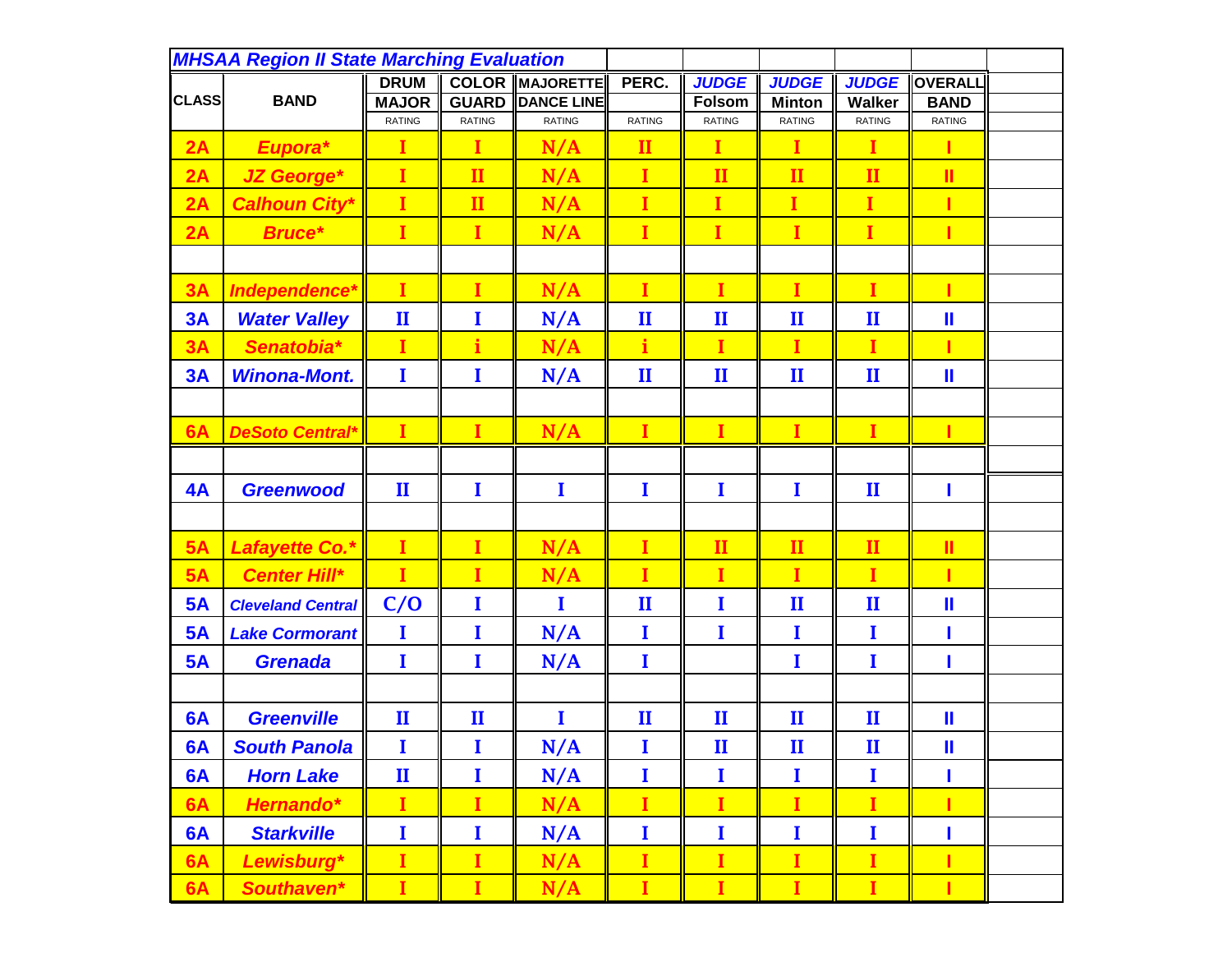| <b>MHSAA Region II State Marching Evaluation</b> |                          |                               |                               |                                    |               |                         |                                |                                |                              |  |
|--------------------------------------------------|--------------------------|-------------------------------|-------------------------------|------------------------------------|---------------|-------------------------|--------------------------------|--------------------------------|------------------------------|--|
|                                                  |                          | <b>DRUM</b>                   |                               | <b>COLOR MAJORETTE</b>             | PERC.         | <b>JUDGE</b>            | <b>JUDGE</b>                   | <b>JUDGE</b>                   | <b>OVERALL</b>               |  |
| <b>CLASS</b>                                     | <b>BAND</b>              | <b>MAJOR</b><br><b>RATING</b> | <b>GUARD</b><br><b>RATING</b> | <b>DANCE LINE</b><br><b>RATING</b> | <b>RATING</b> | <b>Folsom</b><br>RATING | <b>Minton</b><br><b>RATING</b> | <b>Walker</b><br><b>RATING</b> | <b>BAND</b><br><b>RATING</b> |  |
| 2A                                               | Eupora*                  |                               | I                             | N/A                                | $\mathbf{I}$  | $\mathbf I$             | $\mathbf I$                    | T                              |                              |  |
| 2A                                               | <b>JZ George*</b>        | I                             | $\mathbf{I}$                  | N/A                                | $\mathbf I$   | $\mathbf{I}$            | $\mathbf{I}$                   | $\mathbf{I}$                   | Ш                            |  |
| 2A                                               | <b>Calhoun City*</b>     | $\mathbf I$                   | $\mathbf{I}$                  | N/A                                | $\mathbf I$   | $\mathbf I$             | $\mathbf I$                    | I                              | ī                            |  |
| 2A                                               | <b>Bruce*</b>            | I                             | $\bf{I}$                      | N/A                                | $\mathbf{I}$  | $\mathbf I$             | $\mathbf I$                    | $\mathbf I$                    | т                            |  |
|                                                  |                          |                               |                               |                                    |               |                         |                                |                                |                              |  |
| 3A                                               | Independence*            | $\mathbf I$                   | $\mathbf I$                   | N/A                                | $\mathbf{I}$  | $\mathbf{I}$            | $\mathbf I$                    | $\mathbf{I}$                   | т                            |  |
| 3A                                               | <b>Water Valley</b>      | $\mathbf{I}$                  | I                             | N/A                                | $\mathbf{I}$  | $\mathbf{I}$            | $\mathbf{I}$                   | $\mathbf{I}$                   | $\mathbf I$                  |  |
| 3A                                               | Senatobia*               | I                             | i                             | N/A                                | i             | I                       | I                              | I                              |                              |  |
| 3A                                               | <b>Winona-Mont.</b>      | I                             | I                             | N/A                                | $\mathbf{I}$  | $\mathbf{I}$            | $\mathbf{I}$                   | $\mathbf{I}$                   | $\mathbf I$                  |  |
|                                                  |                          |                               |                               |                                    |               |                         |                                |                                |                              |  |
| 6A                                               | <b>DeSoto Central*</b>   | п                             | I                             | N/A                                | $\mathbf{I}$  | I                       | п                              | I                              |                              |  |
|                                                  |                          |                               |                               |                                    |               |                         |                                |                                |                              |  |
| 4A                                               | <b>Greenwood</b>         | $\mathbf{I}$                  | I                             | I                                  | I             | $\bf{I}$                | I                              | $\mathbf{I}$                   |                              |  |
|                                                  |                          |                               |                               |                                    |               |                         |                                |                                |                              |  |
| 5A                                               | <b>Lafayette Co.*</b>    | $\mathbf I$                   | $\mathbf{I}$                  | N/A                                | $\mathbf{I}$  | $\mathbf{I}$            | $\mathbf{I}$                   | $\mathbf{I}$                   | Ш                            |  |
| 5A                                               | <b>Center Hill*</b>      | T                             | I                             | N/A                                | Ī             | $\mathbf{I}$            | $\mathbf I$                    | т                              |                              |  |
| <b>5A</b>                                        | <b>Cleveland Central</b> | C/O                           | I                             | I                                  | $\mathbf{I}$  | I                       | $\mathbf{I}$                   | $\mathbf{I}$                   | $\mathbf{I}$                 |  |
| <b>5A</b>                                        | <b>Lake Cormorant</b>    | I                             | I                             | N/A                                | I             | I                       | I                              | I                              |                              |  |
| <b>5A</b>                                        | <b>Grenada</b>           | I                             | I                             | N/A                                | I             |                         | I                              | I                              |                              |  |
|                                                  |                          |                               |                               |                                    |               |                         |                                |                                |                              |  |
| 6A                                               | <b>Greenville</b>        | $\mathbf{I}$                  | $\mathbf{I}$                  | I                                  | $\mathbf{I}$  | $\mathbf{I}$            | $\mathbf{I}$                   | $\mathbf{I}$                   | Ш                            |  |
| 6A                                               | <b>South Panola</b>      | I                             | I                             | N/A                                | I             | $\mathbf{I}$            | $\mathbf{I}$                   | $\mathbf{I}$                   | $\mathbf I$                  |  |
| 6A                                               | <b>Horn Lake</b>         | $\mathbf{I}$                  | 1                             | N/A                                | I             | I                       | I                              | I                              |                              |  |
| 6A                                               | Hernando*                | I                             | I                             | N/A                                | I             | $\mathbf{I}$            | I                              | I                              |                              |  |
| 6A                                               | <b>Starkville</b>        | I                             | I                             | N/A                                | I             | I                       | I                              | I                              |                              |  |
| 6A                                               | Lewisburg*               | I                             | $\mathbf{I}$                  | N/A                                | $\mathbf{I}$  | $\mathbf{I}$            | $\mathbf I$                    | I                              |                              |  |
| 6A                                               | Southaven*               | I                             | I                             | N/A                                | I             | I                       | I                              |                                |                              |  |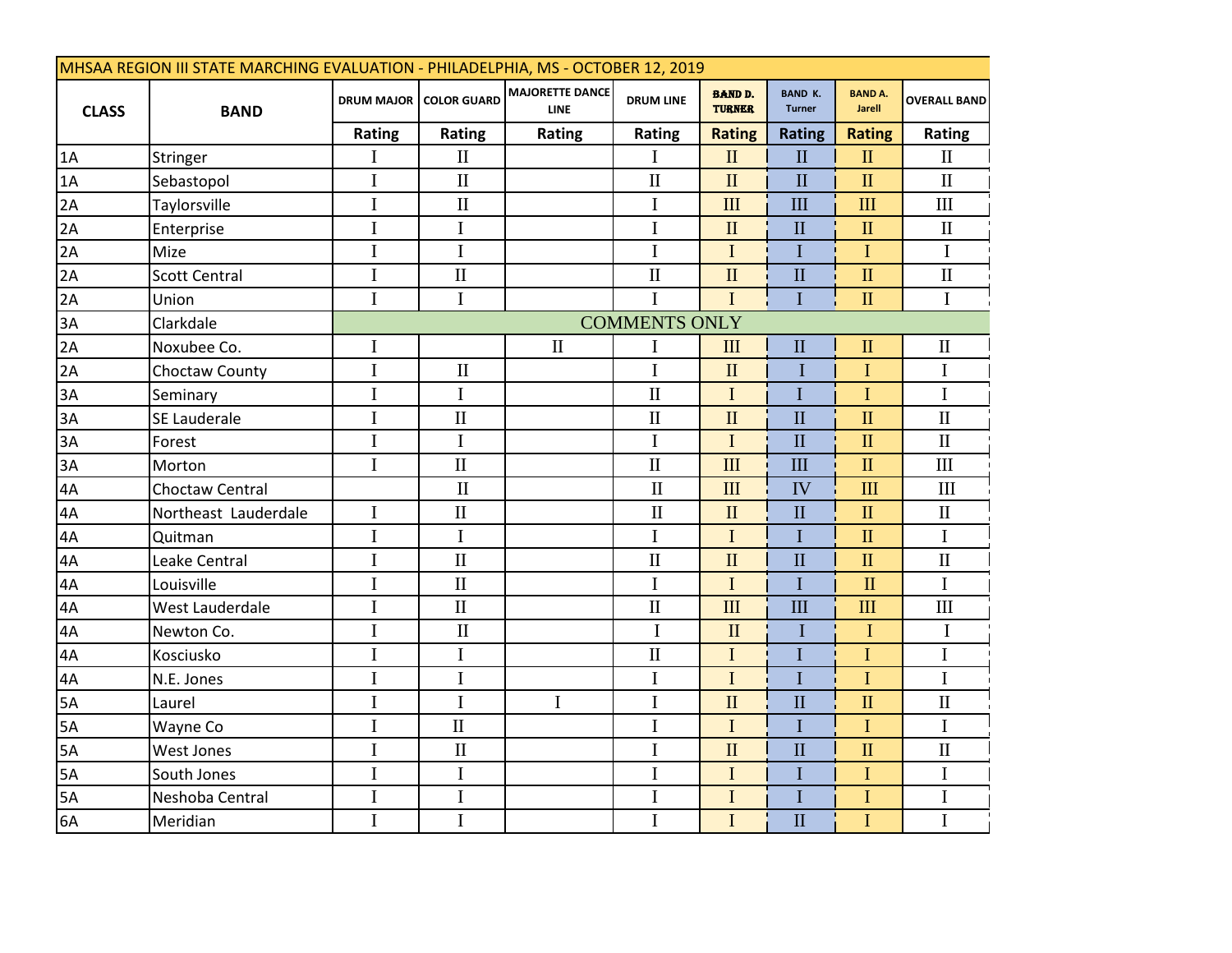| MHSAA REGION III STATE MARCHING EVALUATION - PHILADELPHIA, MS - OCTOBER 12, 2019 |                      |                   |                                 |                                |                      |                                  |                                  |                             |                        |  |
|----------------------------------------------------------------------------------|----------------------|-------------------|---------------------------------|--------------------------------|----------------------|----------------------------------|----------------------------------|-----------------------------|------------------------|--|
| <b>CLASS</b>                                                                     | <b>BAND</b>          | <b>DRUM MAJOR</b> | <b>COLOR GUARD</b>              | MAJORETTE DANCE<br><b>LINE</b> | <b>DRUM LINE</b>     | <b>BAND D.</b><br><b>TURNER</b>  | <b>BAND K.</b><br><b>Turner</b>  | <b>BAND A.</b><br>Jarell    | <b>OVERALL BAND</b>    |  |
|                                                                                  |                      | Rating            | Rating                          | Rating                         | Rating               | <b>Rating</b>                    | <b>Rating</b>                    | <b>Rating</b>               | Rating                 |  |
| 1A                                                                               | Stringer             | $\mathbf I$       | $\rm II$                        |                                | $\mathbf I$          | $\rm II$                         | $\mathbf I$                      | $\mathbf{I}$                | $\rm II$               |  |
| 1A                                                                               | Sebastopol           | $\bf I$           | $\rm II$                        |                                | $\rm II$             | $\mathbf{I}$                     | $\mathbf{I}$                     | $\mathbf{I}$                | $\rm II$               |  |
| 2A                                                                               | Taylorsville         | $\mathbf I$       | $\mathop{\mathrm{II}}\nolimits$ |                                | $\mathbf I$          | III                              | $\mathbf{I}$                     | $\mathbf{I}$                | $\rm III$              |  |
| 2A                                                                               | Enterprise           | $\mathbf I$       | $\bf I$                         |                                | $\mathbf I$          | $\rm II$                         | $\rm II$                         | $\rm II$                    | $\rm II$               |  |
| 2A                                                                               | Mize                 | $\overline{I}$    | $\mathbf I$                     |                                | $\overline{I}$       | $\mathbf I$                      | I                                | $\mathbf I$                 | $\mathbf I$            |  |
| 2A                                                                               | <b>Scott Central</b> | $\overline{I}$    | $\rm II$                        |                                | $\rm II$             | $\mathbf I$                      | $\overline{\mathbf{u}}$          | $\overline{\mathbf{u}}$     | $\rm II$               |  |
| 2A                                                                               | Union                | $\mathbf I$       | $\mathbf I$                     |                                | L                    | $\mathbf{I}$                     | I                                | $\mathbf{I}$                | $\mathbf I$            |  |
| 3A                                                                               | Clarkdale            |                   |                                 |                                | <b>COMMENTS ONLY</b> |                                  |                                  |                             |                        |  |
| 2A                                                                               | Noxubee Co.          | $\mathbf I$       |                                 | $\mathbf I$                    | $\mathbf I$          | $\mathop{\mathrm{III}}\nolimits$ | $\mathbf{I}$                     | $\rm II$                    | $\rm II$               |  |
| 2A                                                                               | Choctaw County       | $\mathbf I$       | $\rm II$                        |                                | $\mathbf I$          | $\rm II$                         | $\mathbf I$                      | $\mathbf I$                 | $\mathbf I$            |  |
| 3A                                                                               | Seminary             | $\mathbf I$       | $\mathbf I$                     |                                | $\rm II$             | $\mathbf I$                      | I                                | $\mathbf I$                 | $\mathbf I$            |  |
| 3A                                                                               | SE Lauderale         | $\overline{I}$    | $\rm II$                        |                                | $\rm II$             | $\rm II$                         | $\overline{\mathbf{u}}$          | $\mathbf{I}$                | $\mathbf{I}$           |  |
| 3A                                                                               | Forest               | $\bf I$           | $\mathbf I$                     |                                | $\bf I$              | $\mathbf I$                      | $\rm II$                         | $\rm II$                    | $\rm II$               |  |
| 3A                                                                               | Morton               | $\overline{I}$    | $\rm II$                        |                                | $\rm II$             | III                              | $\mathop{\mathrm{III}}\nolimits$ | $\mathbf{I}$                | $\rm III$              |  |
| 4A                                                                               | Choctaw Central      |                   | $\rm II$                        |                                | $\rm II$             | $\mathbf{I}$                     | IV                               | $\mathbf{I}$                | $\rm III$              |  |
| 4A                                                                               | Northeast Lauderdale | I                 | $\mathbf{I}$                    |                                | $\mathbf I$          | $\mathbf{I}$                     | $\mathbf{I}$                     | $\mathbf{I}$                | $\mathbf{I}$           |  |
| 4A                                                                               | Quitman              | $\overline{I}$    | $\mathbf I$                     |                                | $\mathbf I$          | $\mathbf I$                      | I                                | $\mathbf{I}$                | $\mathbf I$            |  |
| 4A                                                                               | Leake Central        | $\mathbf I$       | $\rm II$                        |                                | $\rm II$             | $\rm II$                         | $\overline{\mathbf{u}}$          | $\rm II$                    | $\rm II$               |  |
| 4A                                                                               | Louisville           | $\overline{I}$    | $\rm II$                        |                                | $\mathbf I$          | $\mathbf I$                      | I                                | $\mathbf{I}$                | $\mathbf I$            |  |
| 4A                                                                               | West Lauderdale      | $\mathbf I$       | $\rm II$                        |                                | $\rm II$             | $\mathop{\mathrm{III}}\nolimits$ | $\mathbf{I}$                     | $\mathop{\rm III}\nolimits$ | $\rm III$              |  |
| 4A                                                                               | Newton Co.           | $\mathbf I$       | $\rm II$                        |                                | $\mathbf I$          | $\mathbf{I}$                     | $\mathbf I$                      | $\mathbf I$                 | $\mathbf I$            |  |
| 4A                                                                               | Kosciusko            | I                 | $\bf I$                         |                                | $\rm II$             | $\mathbf I$                      | I                                | $\mathbf I$                 | $\mathbf I$            |  |
| 4A                                                                               | N.E. Jones           | $\overline{I}$    | $\overline{I}$                  |                                | $\mathbf I$          | $\mathbf I$                      | I                                | Ī                           | $\overline{I}$         |  |
| 5A                                                                               | Laurel               | $\overline{I}$    | $\mathbf I$                     | $\mathbf I$                    | $\mathbf I$          | $\mathbf I$                      | $\overline{\mathbf{u}}$          | $\overline{\mathbf{u}}$     | $\mathbf{I}\mathbf{I}$ |  |
| 5A                                                                               | Wayne Co             | $\mathbf I$       | $\mathbf{I}$                    |                                | $\mathbf I$          | $\mathbf I$                      | I                                | I                           | $\mathbf I$            |  |
| 5A                                                                               | West Jones           | $\mathbf I$       | $\rm II$                        |                                | $\overline{I}$       | $\overline{\mathbf{u}}$          | $\mathbf{I}$                     | $\overline{\mathbf{u}}$     | $\rm II$               |  |
| 5A                                                                               | South Jones          | $\mathbf I$       | $\rm I$                         |                                | $\bf I$              | $\overline{I}$                   | I                                | I                           | $\mathbf I$            |  |
| 5A                                                                               | Neshoba Central      | $\mathbf I$       | $\rm I$                         |                                | $\rm I$              | $\bf I$                          | I                                | $\bf{I}$                    | $\mathbf I$            |  |
| 6A                                                                               | Meridian             | $\overline{I}$    | $\mathbf I$                     |                                | $\mathbf I$          | $\mathbf I$                      | $\mathbf{I}$                     | $\mathbf I$                 | $\mathbf I$            |  |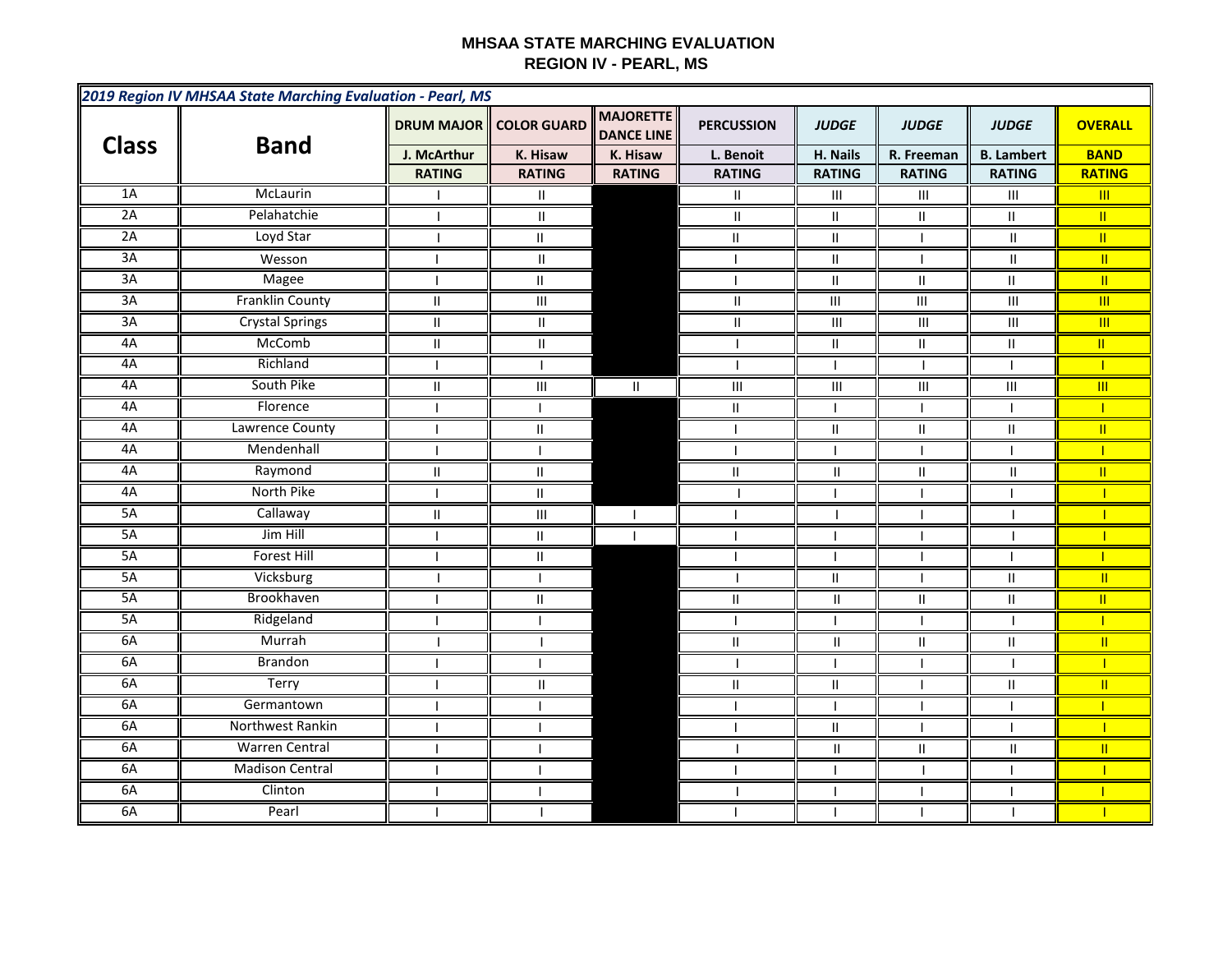## **MHSAA STATE MARCHING EVALUATION REGION IV - PEARL, MS**

| 2019 Region IV MHSAA State Marching Evaluation - Pearl, MS |                        |                            |                                    |                                       |                                    |                                    |                                    |                                    |                         |
|------------------------------------------------------------|------------------------|----------------------------|------------------------------------|---------------------------------------|------------------------------------|------------------------------------|------------------------------------|------------------------------------|-------------------------|
| <b>Class</b>                                               | <b>Band</b>            |                            | <b>DRUM MAJOR   COLOR GUARD</b>    | <b>MAJORETTE</b><br><b>DANCE LINE</b> | <b>PERCUSSION</b>                  | <b>JUDGE</b>                       | <b>JUDGE</b>                       | <b>JUDGE</b>                       | <b>OVERALL</b>          |
|                                                            |                        | J. McArthur                | K. Hisaw                           | K. Hisaw                              | L. Benoit                          | H. Nails                           | R. Freeman                         | <b>B.</b> Lambert                  | <b>BAND</b>             |
|                                                            |                        | <b>RATING</b>              | <b>RATING</b>                      | <b>RATING</b>                         | <b>RATING</b>                      | <b>RATING</b>                      | <b>RATING</b>                      | <b>RATING</b>                      | <b>RATING</b>           |
| 1A                                                         | McLaurin               |                            | $\mathbf{II}$                      |                                       | Ш                                  | $\ensuremath{\mathsf{III}}\xspace$ | $\ensuremath{\mathsf{III}}\xspace$ | $\ensuremath{\mathsf{III}}\xspace$ | $\mathbf{m}$            |
| 2A                                                         | Pelahatchie            | $\overline{\phantom{a}}$   | $\mathbf{II}$                      |                                       | $\mathbf{II}$                      | $\mathbf{II}$                      | $\mathbf{II}$                      | $\mathbf{H}$                       | $\overline{\mathbb{L}}$ |
| 2A                                                         | Loyd Star              |                            | Ш.                                 |                                       | Ш                                  | $\, \parallel$                     | -1                                 | Ш                                  | $\mathbf{II}$           |
| 3A                                                         | Wesson                 |                            | $\mathbf{II}$                      |                                       |                                    | $\, \parallel$                     | $\blacksquare$                     | $\ensuremath{\mathsf{II}}$         | $\mathbf{II}$           |
| 3A                                                         | <b>Magee</b>           |                            | $\mathbf{H}$                       |                                       |                                    | $\mathbf{II}$                      | $\mathbf{H}$                       | $\mathbf{II}$                      | $\mathbf{H}$            |
| 3A                                                         | <b>Franklin County</b> | $\ensuremath{\mathsf{II}}$ | $\ensuremath{\mathsf{III}}\xspace$ |                                       | Ш                                  | $\overline{\mathbb{I}}$            | $\ensuremath{\mathsf{III}}\xspace$ | $\overline{\mathbf{m}}$            | $\overline{\mathbb{H}}$ |
| 3A                                                         | <b>Crystal Springs</b> | $\mathbf{II}$              | Ш                                  |                                       | $\mathbf{II}$                      | $\mathbf{III}$                     | $\ensuremath{\mathsf{III}}\xspace$ | $\mathbf{III}$                     | $\mathbf{m}$            |
| 4A                                                         | <b>McComb</b>          | $\ensuremath{\mathsf{II}}$ | $\ensuremath{\mathsf{II}}$         |                                       | $\overline{\phantom{a}}$           | $\ensuremath{\mathsf{II}}$         | $\ensuremath{\mathsf{II}}$         | $\rm H$                            | $\mathbf{II}$           |
| 4A                                                         | Richland               | I.                         | $\mathbf{I}$                       |                                       |                                    |                                    | $\mathbf{I}$                       | $\mathbf{I}$                       | $\mathbf{L}$            |
| 4A                                                         | South Pike             | $\mathbf{II}$              | $\ensuremath{\mathsf{III}}\xspace$ | $\mathbf{H}$                          | $\ensuremath{\mathsf{III}}\xspace$ | $\mathop{\rm III}\nolimits$        | $\ensuremath{\mathsf{III}}\xspace$ | $\overline{\mathbb{H}}$            | $\overline{\mathbb{H}}$ |
| 4A                                                         | Florence               |                            |                                    |                                       | Ш                                  |                                    |                                    |                                    |                         |
| 4A                                                         | <b>Lawrence County</b> |                            | $\ensuremath{\mathsf{II}}$         |                                       |                                    | $\, \parallel$                     | $\ensuremath{\mathsf{II}}$         | $\mathbf{H}$                       | $\mathbf{II}$           |
| 4A                                                         | Mendenhall             |                            |                                    |                                       |                                    |                                    |                                    |                                    | Т                       |
| 4A                                                         | Raymond                | Ш                          | $\mathbf{II}$                      |                                       | Ш                                  | $\mathbf{H}$                       | $\mathop{  }$                      | $\ensuremath{\mathsf{II}}$         | $\mathbf{II}$           |
| 4A                                                         | North Pike             | T                          | $\mathbf{H}$                       |                                       |                                    |                                    | $\mathbf{I}$                       |                                    | П                       |
| 5A                                                         | Callaway               | $\mathbf{II}$              | Ш                                  | <sup>1</sup>                          | $\mathbf{I}$                       | $\overline{\phantom{a}}$           | $\mathbf{I}$                       | $\mathbf{I}$                       | $\blacksquare$          |
| 5A                                                         | Jim Hill               |                            | $\mathbf{II}$                      |                                       |                                    |                                    |                                    |                                    |                         |
| 5A                                                         | Forest Hill            |                            | Ш                                  |                                       |                                    |                                    | $\mathbf{I}$                       |                                    | $\mathbf{L}$            |
| 5A                                                         | Vicksburg              |                            |                                    |                                       |                                    | $\mathbf{I}$                       |                                    | $\mathbf{II}$                      | $\mathbf{II}$           |
| 5A                                                         | Brookhaven             |                            | Ш                                  |                                       | Ш                                  | Ш                                  | $\mathbf{H}$                       | Ш                                  | $\mathbf{II}$           |
| 5A                                                         | Ridgeland              |                            |                                    |                                       |                                    |                                    |                                    |                                    | Т                       |
| 6A                                                         | Murrah                 | $\blacksquare$             | $\mathbf{I}$                       |                                       | $\,$ II                            | $\mathbf{II}$                      | $\mathop{  }$                      | Ш                                  | $\mathbf{II}$           |
| 6A                                                         | <b>Brandon</b>         | ı                          |                                    |                                       | $\overline{\phantom{a}}$           |                                    | $\mathbf{I}$                       | $\mathbf{I}$                       | $\blacksquare$          |
| 6A                                                         | Terry                  |                            | $\mathbf{II}$                      |                                       | $\mathbf{H}$                       | $\mathbf{H}$                       | -1                                 | $\mathbf{II}$                      | $\mathbf{H}$            |
| 6A                                                         | Germantown             |                            |                                    |                                       |                                    |                                    |                                    |                                    |                         |
| 6A                                                         | Northwest Rankin       |                            |                                    |                                       |                                    | $\sf II$                           |                                    |                                    |                         |
| 6A                                                         | <b>Warren Central</b>  |                            |                                    |                                       |                                    | $\mathbf{II}$                      | $\ensuremath{\mathsf{II}}$         | $\sf II$                           | $\mathbf{II}$           |
| 6A                                                         | <b>Madison Central</b> |                            |                                    |                                       |                                    |                                    |                                    |                                    |                         |
| 6A                                                         | Clinton                |                            |                                    |                                       |                                    |                                    |                                    |                                    | Т                       |
| 6A                                                         | Pearl                  |                            | $\mathbf{I}$                       |                                       |                                    |                                    |                                    | $\mathbf{I}$                       |                         |